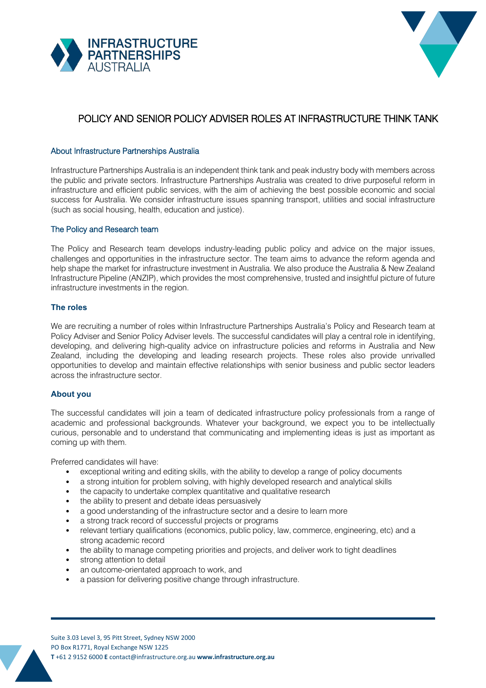



# POLICY AND SENIOR POLICY ADVISER ROLES AT INFRASTRUCTURE THINK TANK

### About Infrastructure Partnerships Australia

Infrastructure Partnerships Australia is an independent think tank and peak industry body with members across the public and private sectors. Infrastructure Partnerships Australia was created to drive purposeful reform in infrastructure and efficient public services, with the aim of achieving the best possible economic and social success for Australia. We consider infrastructure issues spanning transport, utilities and social infrastructure (such as social housing, health, education and justice).

#### The Policy and Research team

The Policy and Research team develops industry-leading public policy and advice on the major issues, challenges and opportunities in the infrastructure sector. The team aims to advance the reform agenda and help shape the market for infrastructure investment in Australia. We also produce the [Australia & New Zealand](https://infrastructurepipeline.org/) [Infrastructure Pipeline \(](https://infrastructurepipeline.org/)ANZIP), which provides the most comprehensive, trusted and insightful picture of future infrastructure investments in the region.

#### **The roles**

We are recruiting a number of roles within Infrastructure Partnerships Australia's Policy and Research team at Policy Adviser and Senior Policy Adviser levels. The successful candidates will play a central role in identifying, developing, and delivering high-quality advice on infrastructure policies and reforms in Australia and New Zealand, including the developing and leading research projects. These roles also provide unrivalled opportunities to develop and maintain effective relationships with senior business and public sector leaders across the infrastructure sector.

#### **About you**

The successful candidates will join a team of dedicated infrastructure policy professionals from a range of academic and professional backgrounds. Whatever your background, we expect you to be intellectually curious, personable and to understand that communicating and implementing ideas is just as important as coming up with them.

Preferred candidates will have:

- exceptional writing and editing skills, with the ability to develop a range of policy documents
- a strong intuition for problem solving, with highly developed research and analytical skills
- the capacity to undertake complex quantitative and qualitative research
- the ability to present and debate ideas persuasively
- a good understanding of the infrastructure sector and a desire to learn more
- a strong track record of successful projects or programs
- relevant tertiary qualifications (economics, public policy, law, commerce, engineering, etc) and a strong academic record
- the ability to manage competing priorities and projects, and deliver work to tight deadlines
- strong attention to detail
- an outcome-orientated approach to work, and
- a passion for delivering positive change through infrastructure.

Suite 3.03 Level 3, 95 Pitt Street, Sydney NSW 2000 PO Box R1771, Royal Exchange NSW 1225 **T** +61 2 9152 6000 **E** [contact@infrastructure.org.au](mailto:contact@infrastructure.org.au) **[www.infrastructure.org.au](http://www.infrastructure.org.au/)**